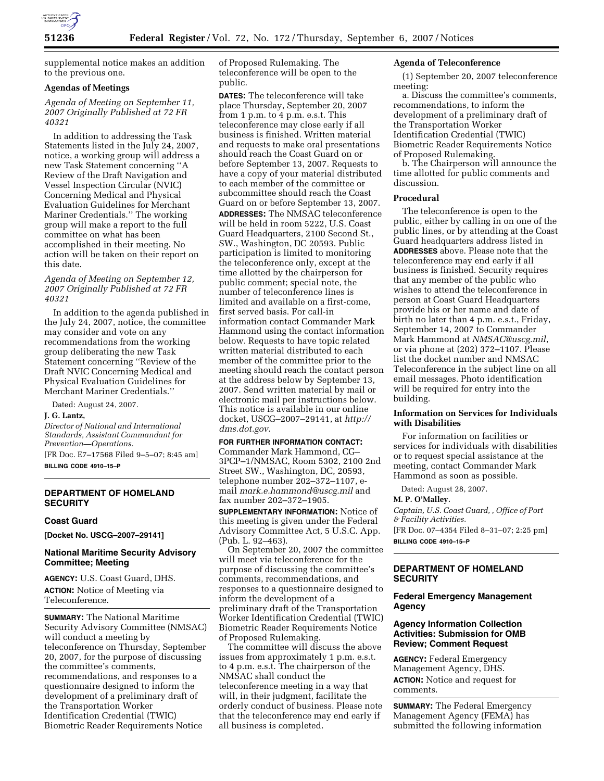

supplemental notice makes an addition to the previous one.

## **Agendas of Meetings**

*Agenda of Meeting on September 11, 2007 Originally Published at 72 FR 40321* 

In addition to addressing the Task Statements listed in the July 24, 2007, notice, a working group will address a new Task Statement concerning ''A Review of the Draft Navigation and Vessel Inspection Circular (NVIC) Concerning Medical and Physical Evaluation Guidelines for Merchant Mariner Credentials.'' The working group will make a report to the full committee on what has been accomplished in their meeting. No action will be taken on their report on this date.

*Agenda of Meeting on September 12, 2007 Originally Published at 72 FR 40321* 

In addition to the agenda published in the July 24, 2007, notice, the committee may consider and vote on any recommendations from the working group deliberating the new Task Statement concerning ''Review of the Draft NVIC Concerning Medical and Physical Evaluation Guidelines for Merchant Mariner Credentials.''

Dated: August 24, 2007.

### **J. G. Lantz,**

*Director of National and International Standards, Assistant Commandant for Prevention—Operations.* 

[FR Doc. E7–17568 Filed 9–5–07; 8:45 am] **BILLING CODE 4910–15–P** 

## **DEPARTMENT OF HOMELAND SECURITY**

#### **Coast Guard**

**[Docket No. USCG–2007–29141]** 

### **National Maritime Security Advisory Committee; Meeting**

**AGENCY:** U.S. Coast Guard, DHS. **ACTION:** Notice of Meeting via Teleconference.

**SUMMARY:** The National Maritime Security Advisory Committee (NMSAC) will conduct a meeting by teleconference on Thursday, September 20, 2007, for the purpose of discussing the committee's comments, recommendations, and responses to a questionnaire designed to inform the development of a preliminary draft of the Transportation Worker Identification Credential (TWIC) Biometric Reader Requirements Notice

of Proposed Rulemaking. The teleconference will be open to the public.

**DATES:** The teleconference will take place Thursday, September 20, 2007 from 1 p.m. to 4 p.m. e.s.t. This teleconference may close early if all business is finished. Written material and requests to make oral presentations should reach the Coast Guard on or before September 13, 2007. Requests to have a copy of your material distributed to each member of the committee or subcommittee should reach the Coast Guard on or before September 13, 2007. **ADDRESSES:** The NMSAC teleconference will be held in room 5222, U.S. Coast Guard Headquarters, 2100 Second St., SW., Washington, DC 20593. Public participation is limited to monitoring the teleconference only, except at the time allotted by the chairperson for public comment; special note, the number of teleconference lines is limited and available on a first-come, first served basis. For call-in information contact Commander Mark Hammond using the contact information below. Requests to have topic related written material distributed to each member of the committee prior to the meeting should reach the contact person at the address below by September 13, 2007. Send written material by mail or electronic mail per instructions below. This notice is available in our online docket, USCG–2007–29141, at *http:// dms.dot.gov*.

#### **FOR FURTHER INFORMATION CONTACT:**

Commander Mark Hammond, CG– 3PCP–1/NMSAC, Room 5302, 2100 2nd Street SW., Washington, DC, 20593, telephone number 202–372–1107, email *mark.e.hammond@uscg.mil* and fax number 202–372–1905.

**SUPPLEMENTARY INFORMATION:** Notice of this meeting is given under the Federal Advisory Committee Act, 5 U.S.C. App. (Pub. L. 92–463).

On September 20, 2007 the committee will meet via teleconference for the purpose of discussing the committee's comments, recommendations, and responses to a questionnaire designed to inform the development of a preliminary draft of the Transportation Worker Identification Credential (TWIC) Biometric Reader Requirements Notice of Proposed Rulemaking.

The committee will discuss the above issues from approximately 1 p.m. e.s.t. to 4 p.m. e.s.t. The chairperson of the NMSAC shall conduct the teleconference meeting in a way that will, in their judgment, facilitate the orderly conduct of business. Please note that the teleconference may end early if all business is completed.

## **Agenda of Teleconference**

(1) September 20, 2007 teleconference meeting:

a. Discuss the committee's comments, recommendations, to inform the development of a preliminary draft of the Transportation Worker Identification Credential (TWIC) Biometric Reader Requirements Notice of Proposed Rulemaking.

b. The Chairperson will announce the time allotted for public comments and discussion.

### **Procedural**

The teleconference is open to the public, either by calling in on one of the public lines, or by attending at the Coast Guard headquarters address listed in **ADDRESSES** above. Please note that the teleconference may end early if all business is finished. Security requires that any member of the public who wishes to attend the teleconference in person at Coast Guard Headquarters provide his or her name and date of birth no later than 4 p.m. e.s.t., Friday, September 14, 2007 to Commander Mark Hammond at *NMSAC@uscg.mil*, or via phone at (202) 372–1107. Please list the docket number and NMSAC Teleconference in the subject line on all email messages. Photo identification will be required for entry into the building.

### **Information on Services for Individuals with Disabilities**

For information on facilities or services for individuals with disabilities or to request special assistance at the meeting, contact Commander Mark Hammond as soon as possible.

Dated: August 28, 2007.

**M. P. O'Malley.** 

*Captain, U.S. Coast Guard, , Office of Port & Facility Activities.*  [FR Doc. 07–4354 Filed 8–31–07; 2:25 pm] **BILLING CODE 4910–15–P** 

# **DEPARTMENT OF HOMELAND SECURITY**

# **Federal Emergency Management Agency**

## **Agency Information Collection Activities: Submission for OMB Review; Comment Request**

**AGENCY:** Federal Emergency Management Agency, DHS. **ACTION:** Notice and request for comments.

**SUMMARY:** The Federal Emergency Management Agency (FEMA) has submitted the following information